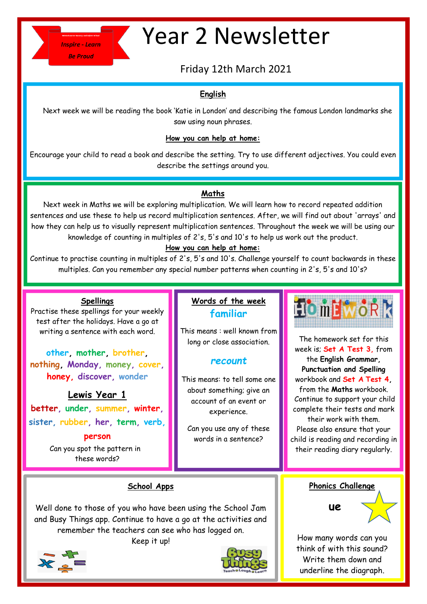

# Year 2 Newsletter

Friday 12th March 2021

## **English**

Next week we will be reading the book 'Katie in London' and describing the famous London landmarks she saw using noun phrases.

## **How you can help at home:**

Encourage your child to read a book and describe the setting. Try to use different adjectives. You could even describe the settings around you.

## **Maths**

Next week in Maths we will be exploring multiplication. We will learn how to record repeated addition sentences and use these to help us record multiplication sentences. After, we will find out about 'arrays' and how they can help us to visually represent multiplication sentences. Throughout the week we will be using our knowledge of counting in multiples of 2's, 5's and 10's to help us work out the product.

#### **How you can help at home:**

Continue to practise counting in multiples of 2's, 5's and 10's. Challenge yourself to count backwards in these multiples. Can you remember any special number patterns when counting in 2's, 5's and 10's?

## **Spellings**

Practise these spellings for your weekly test after the holidays. Have a go at writing a sentence with each word.

**other, mother, brother, nothing, Monday, money, cover, honey, discover, wonder**

**Lewis Year 1 better, under, summer, winter, sister, rubber, her, term, verb,** 

#### **person**

 Can you spot the pattern in these words?

# **Words of the week familiar**

This means : well known from long or close association.

## *recount*

This means: to tell some one about something; give an account of an event or experience.

Can you use any of these words in a sentence?



The homework set for this week is; **Set A Test 3,** from the **English Grammar, Punctuation and Spelling** workbook and **Set A Test 4,** from the **Maths** workbook. Continue to support your child complete their tests and mark their work with them. Please also ensure that your child is reading and recording in their reading diary regularly.

## **School Apps**

and Busy Things app. Continue to have a go at the activities and remember the teachers can see who has logged on. Well done to those of you who have been using the School Jam

Keep it up!





**Phonics Challenge**

 **ue**

How many words can you think of with this sound? Write them down and underline the diagraph.